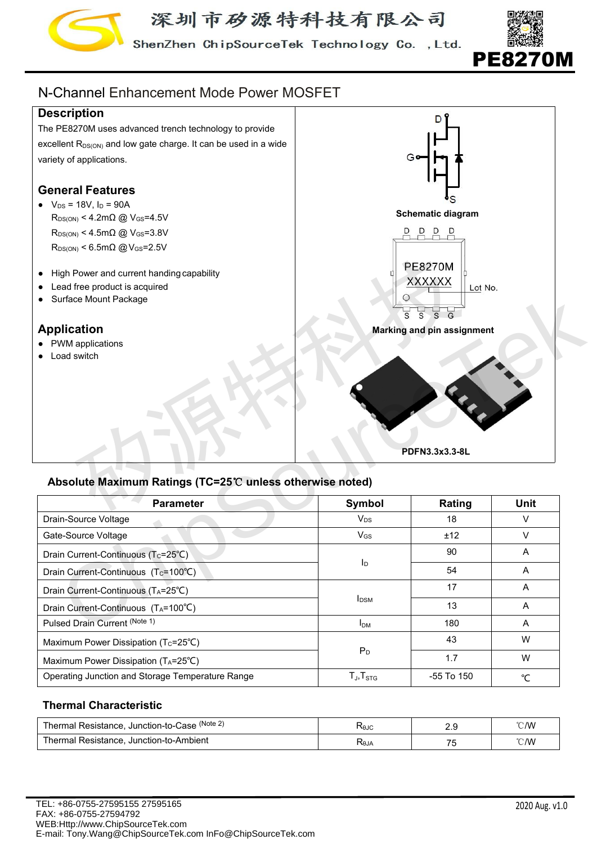

ShenZhen ChipSourceTek Technology Co., Ltd.



# N-Channel Enhancement Mode Power MOSFET

# **Description**

The PE8270M uses advanced trench technology to provide excellent  $R_{DS(ON)}$  and low gate charge. It can be used in a wide variety of applications.

# **General Features**

- $V_{DS} = 18V$ ,  $I_D = 90A$  $R_{DS(ON)}$  < 4.2m $\Omega$  @ V<sub>GS</sub>=4.5V  $R_{DS(ON)}$  < 4.5m $\Omega$  @ V<sub>GS</sub>=3.8V  $R_{DS(ON)}$  < 6.5m $\Omega$  @ V<sub>GS</sub>=2.5V
- High Power and current handing capability
- Lead free product is acquired
- Surface Mount Package

# **Application**

- PWM applications
- Load switch



# **Absolute Maximum Ratings (TC=25**℃ **unless otherwise noted)**

| • High Power and current handing capability<br>• Lead free product is acquired<br>Surface Mount Package<br>$\bullet$<br><b>Application</b><br>• PWM applications<br>• Load switch | $\overline{s}$          | <b>PE8270M</b><br><b>XXXXXX</b><br>Lot No.<br>$\overline{s}$<br>$\overline{s}$ $\overline{a}$<br>Marking and pin assignment |                          |
|-----------------------------------------------------------------------------------------------------------------------------------------------------------------------------------|-------------------------|-----------------------------------------------------------------------------------------------------------------------------|--------------------------|
| Absolute Maximum Ratings (TC=25℃ unless otherwise noted)<br><b>Parameter</b>                                                                                                      |                         | PDFN3.3x3.3-8L                                                                                                              |                          |
| Drain-Source Voltage                                                                                                                                                              | Symbol<br>$V_{DS}$      | Rating<br>18                                                                                                                | <b>Unit</b><br>V         |
| Gate-Source Voltage                                                                                                                                                               | $V_{GS}$                | ±12                                                                                                                         | $\mathsf{V}$             |
| Drain Current-Continuous (Tc=25°C)                                                                                                                                                |                         | 90                                                                                                                          | A                        |
| Drain Current-Continuous (Tc=100°C)                                                                                                                                               | $I_D$                   | 54                                                                                                                          | A                        |
| Drain Current-Continuous (TA=25°C)                                                                                                                                                |                         | 17                                                                                                                          | A                        |
| Drain Current-Continuous (TA=100°C)                                                                                                                                               | <b>I</b> <sub>DSM</sub> | 13                                                                                                                          | A                        |
| Pulsed Drain Current (Note 1)                                                                                                                                                     | I <sub>DM</sub>         | 180                                                                                                                         | A                        |
| Maximum Power Dissipation (Tc=25°C)                                                                                                                                               |                         | 43                                                                                                                          | W                        |
| Maximum Power Dissipation (TA=25°C)                                                                                                                                               | $\mathsf{P}_\mathsf{D}$ | 1.7                                                                                                                         | W                        |
| Operating Junction and Storage Temperature Range                                                                                                                                  | $T_J$ , $T_{STG}$       | -55 To 150                                                                                                                  | °C                       |
|                                                                                                                                                                                   |                         |                                                                                                                             |                          |
| <b>Thermal Characteristic</b>                                                                                                                                                     |                         |                                                                                                                             |                          |
| Thermal Resistance, Junction-to-Case (Note 2)                                                                                                                                     | $R_{\theta JC}$         | 2.9                                                                                                                         | $\mathcal{C}/\mathsf{W}$ |

#### **Thermal Characteristic**

| (Note 2)<br>ˈhermal<br>Resistance<br>. Junction-to-C<br>Case<br>IU. | <b>K</b> ejc | <u>.</u> . | °∩∧∧<br><b>.</b> |
|---------------------------------------------------------------------|--------------|------------|------------------|
| ⊺hermal<br>. Junction-to-Ambient<br>Resistance<br>$\mathbf{u}$      | Alθ $\tau$   | - -<br>. . | °∩′M<br>$\sim$   |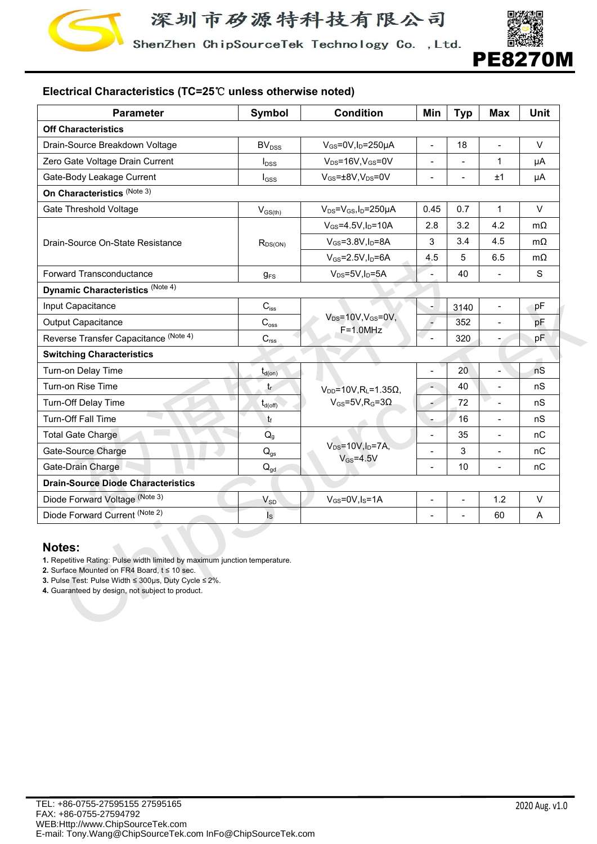

ShenZhen ChipSourceTek Technology Co., Ltd.



# **Electrical Characteristics (TC=25**℃ **unless otherwise noted)**

| <b>Parameter</b>                                                                                                                                                                                                                                            | <b>Symbol</b>              | <b>Condition</b>                                                  | Min                      | <b>Typ</b>               | <b>Max</b>               | <b>Unit</b> |
|-------------------------------------------------------------------------------------------------------------------------------------------------------------------------------------------------------------------------------------------------------------|----------------------------|-------------------------------------------------------------------|--------------------------|--------------------------|--------------------------|-------------|
| <b>Off Characteristics</b>                                                                                                                                                                                                                                  |                            |                                                                   |                          |                          |                          |             |
| Drain-Source Breakdown Voltage                                                                                                                                                                                                                              | BV <sub>DSS</sub>          | $V_{GS}$ =0V, I <sub>D</sub> =250µA                               | $\overline{\phantom{a}}$ | 18                       | $\overline{a}$           | $\vee$      |
| Zero Gate Voltage Drain Current                                                                                                                                                                                                                             | $I_{\text{DSS}}$           | $V_{DS} = 16V$ , $V_{GS} = 0V$                                    | $\overline{a}$           |                          | $\mathbf{1}$             | μA          |
| Gate-Body Leakage Current                                                                                                                                                                                                                                   | $I_{GSS}$                  | $V_{GS} = \pm 8V, V_{DS} = 0V$                                    | $\overline{\phantom{a}}$ | $\overline{\phantom{0}}$ | ±1                       | μA          |
| On Characteristics (Note 3)                                                                                                                                                                                                                                 |                            |                                                                   |                          |                          |                          |             |
| Gate Threshold Voltage                                                                                                                                                                                                                                      | $V_{\text{GS(th)}}$        | $V_{DS} = V_{GS}I_D = 250 \mu A$                                  | 0.45                     | 0.7                      | $\mathbf{1}$             | $\vee$      |
|                                                                                                                                                                                                                                                             |                            | $V_{GS} = 4.5V, I_D = 10A$                                        | 2.8                      | 3.2                      | 4.2                      | $m\Omega$   |
| Drain-Source On-State Resistance                                                                                                                                                                                                                            | $R_{DS(ON)}$               | $V_{GS} = 3.8V, I_D = 8A$                                         | 3                        | 3.4                      | 4.5                      | $m\Omega$   |
|                                                                                                                                                                                                                                                             |                            | $V_{GS}$ =2.5V, $I_D$ =6A                                         | 4.5                      | 5                        | 6.5                      | $m\Omega$   |
| Forward Transconductance                                                                                                                                                                                                                                    | $g_{FS}$                   | $V_{DS} = 5V, I_D = 5A$                                           | $\blacksquare$           | 40                       | $\overline{\phantom{a}}$ | S           |
| Dynamic Characteristics (Note 4)                                                                                                                                                                                                                            |                            |                                                                   |                          |                          |                          |             |
| Input Capacitance                                                                                                                                                                                                                                           | $\mathbf{C}_{\text{iss}}$  |                                                                   |                          | 3140                     | $\overline{\phantom{0}}$ | pF          |
| Output Capacitance                                                                                                                                                                                                                                          | $C_{\text{oss}}$           | $V_{DS} = 10V, V_{GS} = 0V,$                                      | ٠,                       | 352                      | -                        | pF          |
| Reverse Transfer Capacitance (Note 4)                                                                                                                                                                                                                       | $C_{\hbox{\tiny\rm rss}}$  | $F=1.0$ MHz                                                       | $\overline{a}$           | 320                      | -                        | pF          |
| <b>Switching Characteristics</b>                                                                                                                                                                                                                            |                            |                                                                   |                          |                          |                          |             |
| Turn-on Delay Time                                                                                                                                                                                                                                          |                            |                                                                   | $\overline{\phantom{a}}$ | 20                       | $\overline{\phantom{0}}$ | a.<br>nS    |
| Turn-on Rise Time                                                                                                                                                                                                                                           | $t_{d(on)}$<br>$t_{\rm r}$ |                                                                   | $\overline{\phantom{a}}$ | 40                       | $\frac{1}{2}$            | nS          |
| Turn-Off Delay Time                                                                                                                                                                                                                                         | $t_{d(\text{off})}$        | $V_{DD} = 10V, R_L = 1.35\Omega,$<br>$V_{GS} = 5V, R_G = 3\Omega$ | ۰                        | 72                       | $\overline{a}$           | nS          |
| Turn-Off Fall Time                                                                                                                                                                                                                                          | tf                         |                                                                   | $\blacksquare$           | 16                       | $\overline{\phantom{0}}$ | nS          |
| Total Gate Charge                                                                                                                                                                                                                                           | $Q_{g}$                    |                                                                   | $\overline{\phantom{a}}$ | 35                       | $\overline{\phantom{a}}$ | nC          |
| Gate-Source Charge                                                                                                                                                                                                                                          |                            | $V_{DS} = 10V, I_D = 7A,$                                         | $\blacksquare$           | $\mathsf 3$              | -                        | $\sf n C$   |
| Gate-Drain Charge                                                                                                                                                                                                                                           | $Q_{gs}$                   | $V_{GS} = 4.5V$                                                   | $\overline{a}$           | 10                       | $\overline{\phantom{0}}$ | nC          |
| <b>Drain-Source Diode Characteristics</b>                                                                                                                                                                                                                   | $Q_{gd}$                   |                                                                   |                          |                          |                          |             |
| Diode Forward Voltage (Note 3)                                                                                                                                                                                                                              |                            |                                                                   |                          |                          | 1.2                      | $\vee$      |
| Diode Forward Current (Note 2)                                                                                                                                                                                                                              | $V_{SD}$                   | $V_{GS} = 0V, I_S = 1A$                                           | $\blacksquare$           |                          |                          |             |
|                                                                                                                                                                                                                                                             | $I_{\rm S}$                |                                                                   | $\overline{a}$           |                          | 60                       | Α           |
| <b>Notes:</b><br>1. Repetitive Rating: Pulse width limited by maximum junction temperature.<br>2. Surface Mounted on FR4 Board, $t \le 10$ sec.<br>3. Pulse Test: Pulse Width ≤ 300µs, Duty Cycle ≤ 2%.<br>4. Guaranteed by design, not subject to product. |                            |                                                                   |                          |                          |                          |             |

#### **Notes:**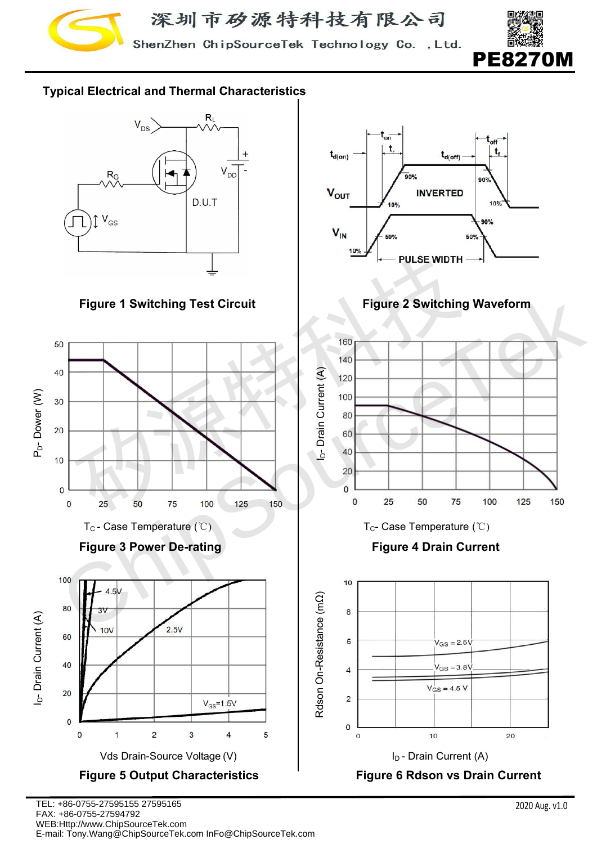

ShenZhen ChipSourceTek Technology Co., Ltd.



# **Typical Electrical and Thermal Characteristics**









 $\mathbf t$  $t_{d(on)}$  $t_{d(\text{off})}$  $\overline{\mathbf{a}}$ ner יהם **V<sub>out</sub> INVERTED**  $10<sup>o</sup>$  $10%$  $90%$  $V_{IN}$ 50%

**Figure 1 Switching Test Circuit Figure 2 Switching Waveform**



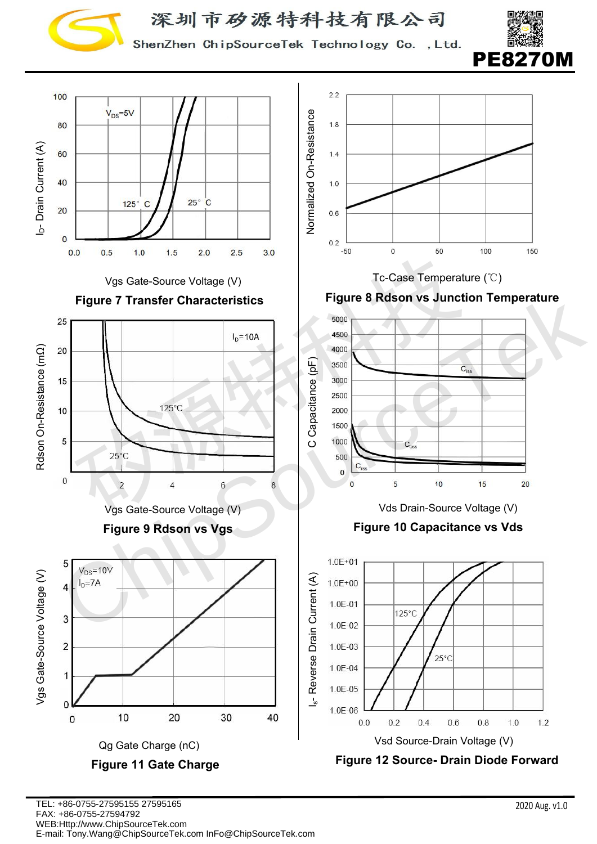

ShenZhen ChipSourceTek Technology Co., Ltd.



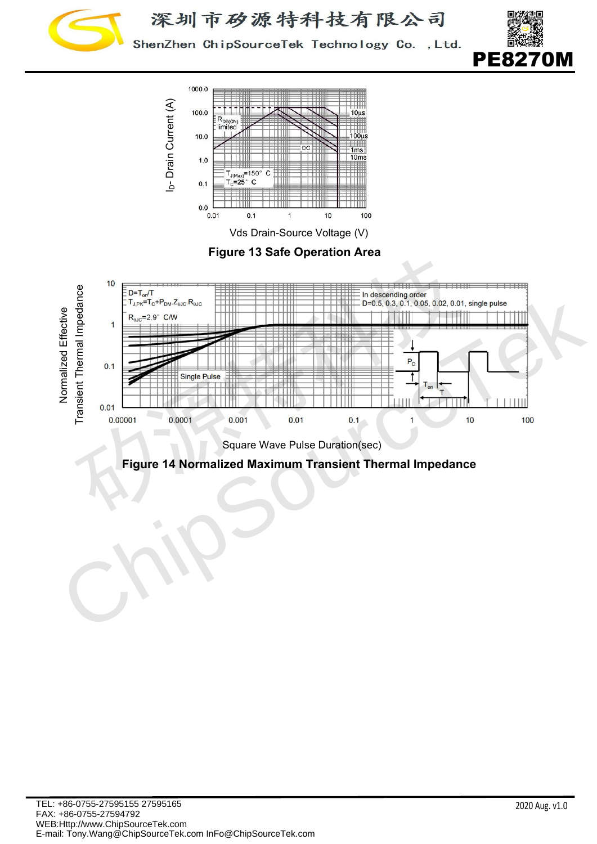

ShenZhen ChipSourceTek Technology Co., Ltd.





**Figure 13 Safe Operation Area**



Square Wave Pulse Duration(sec)

**Figure 14 Normalized Maximum Transient Thermal Impedance**